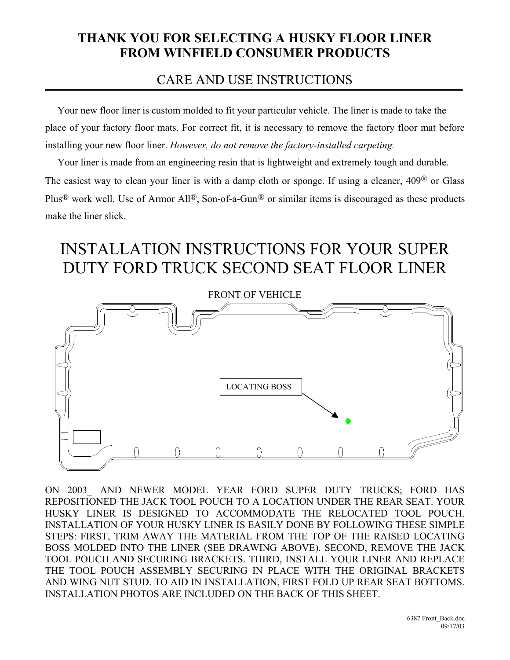## **THANK YOU FOR SELECTING A HUSKY FLOOR LINER FROM WINFIELD CONSUMER PRODUCTS**

## CARE AND USE INSTRUCTIONS

 Your new floor liner is custom molded to fit your particular vehicle. The liner is made to take the place of your factory floor mats. For correct fit, it is necessary to remove the factory floor mat before installing your new floor liner. *However, do not remove the factory-installed carpeting.*

 Your liner is made from an engineering resin that is lightweight and extremely tough and durable. The easiest way to clean your liner is with a damp cloth or sponge. If using a cleaner, 409® or Glass Plus<sup>®</sup> work well. Use of Armor All<sup>®</sup>, Son-of-a-Gun<sup>®</sup> or similar items is discouraged as these products make the liner slick.

## INSTALLATION INSTRUCTIONS FOR YOUR SUPER DUTY FORD TRUCK SECOND SEAT FLOOR LINER



ON 2003 AND NEWER MODEL YEAR FORD SUPER DUTY TRUCKS; FORD HAS REPOSITIONED THE JACK TOOL POUCH TO A LOCATION UNDER THE REAR SEAT. YOUR HUSKY LINER IS DESIGNED TO ACCOMMODATE THE RELOCATED TOOL POUCH. INSTALLATION OF YOUR HUSKY LINER IS EASILY DONE BY FOLLOWING THESE SIMPLE STEPS: FIRST, TRIM AWAY THE MATERIAL FROM THE TOP OF THE RAISED LOCATING BOSS MOLDED INTO THE LINER (SEE DRAWING ABOVE). SECOND, REMOVE THE JACK TOOL POUCH AND SECURING BRACKETS. THIRD, INSTALL YOUR LINER AND REPLACE THE TOOL POUCH ASSEMBLY SECURING IN PLACE WITH THE ORIGINAL BRACKETS AND WING NUT STUD. TO AID IN INSTALLATION, FIRST FOLD UP REAR SEAT BOTTOMS. INSTALLATION PHOTOS ARE INCLUDED ON THE BACK OF THIS SHEET.